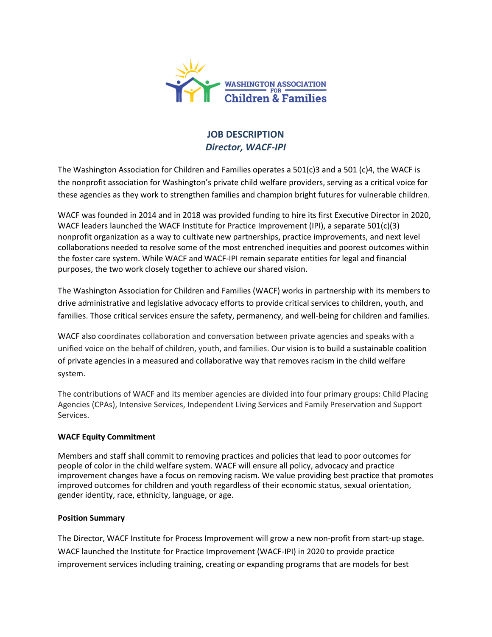

# **JOB DESCRIPTION** *Director, WACF-IPI*

The Washington Association for Children and Families operates a 501(c)3 and a 501 (c)4, the WACF is the nonprofit association for Washington's private child welfare providers, serving as a critical voice for these agencies as they work to strengthen families and champion bright futures for vulnerable children.

WACF was founded in 2014 and in 2018 was provided funding to hire its first Executive Director in 2020, WACF leaders launched the WACF Institute for Practice Improvement (IPI), a separate 501(c)(3) nonprofit organization as a way to cultivate new partnerships, practice improvements, and next level collaborations needed to resolve some of the most entrenched inequities and poorest outcomes within the foster care system. While WACF and WACF-IPI remain separate entities for legal and financial purposes, the two work closely together to achieve our shared vision.

The Washington Association for Children and Families (WACF) works in partnership with its members to drive administrative and legislative advocacy efforts to provide critical services to children, youth, and families. Those critical services ensure the safety, permanency, and well-being for children and families.

WACF also coordinates collaboration and conversation between private agencies and speaks with a unified voice on the behalf of children, youth, and families. Our vision is to build a sustainable coalition of private agencies in a measured and collaborative way that removes racism in the child welfare system.

The contributions of WACF and its member agencies are divided into four primary groups: Child Placing Agencies (CPAs), Intensive Services, Independent Living Services and Family Preservation and Support Services.

## **WACF Equity Commitment**

Members and staff shall commit to removing practices and policies that lead to poor outcomes for people of color in the child welfare system. WACF will ensure all policy, advocacy and practice improvement changes have a focus on removing racism. We value providing best practice that promotes improved outcomes for children and youth regardless of their economic status, sexual orientation, gender identity, race, ethnicity, language, or age.

## **Position Summary**

The Director, WACF Institute for Process Improvement will grow a new non-profit from start-up stage. WACF launched the Institute for Practice Improvement (WACF-IPI) in 2020 to provide practice improvement services including training, creating or expanding programs that are models for best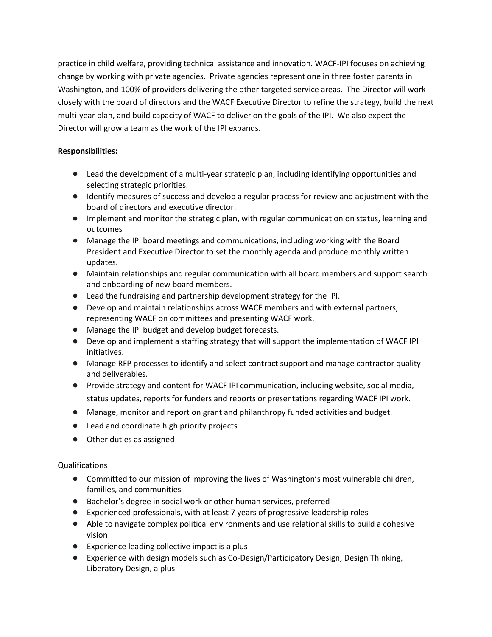practice in child welfare, providing technical assistance and innovation. WACF-IPI focuses on achieving change by working with private agencies. Private agencies represent one in three foster parents in Washington, and 100% of providers delivering the other targeted service areas. The Director will work closely with the board of directors and the WACF Executive Director to refine the strategy, build the next multi-year plan, and build capacity of WACF to deliver on the goals of the IPI. We also expect the Director will grow a team as the work of the IPI expands.

## **Responsibilities:**

- Lead the development of a multi-year strategic plan, including identifying opportunities and selecting strategic priorities.
- Identify measures of success and develop a regular process for review and adjustment with the board of directors and executive director.
- Implement and monitor the strategic plan, with regular communication on status, learning and outcomes
- Manage the IPI board meetings and communications, including working with the Board President and Executive Director to set the monthly agenda and produce monthly written updates.
- Maintain relationships and regular communication with all board members and support search and onboarding of new board members.
- Lead the fundraising and partnership development strategy for the IPI.
- Develop and maintain relationships across WACF members and with external partners, representing WACF on committees and presenting WACF work.
- Manage the IPI budget and develop budget forecasts.
- Develop and implement a staffing strategy that will support the implementation of WACF IPI initiatives.
- Manage RFP processes to identify and select contract support and manage contractor quality and deliverables.
- Provide strategy and content for WACF IPI communication, including website, social media, status updates, reports for funders and reports or presentations regarding WACF IPI work.
- Manage, monitor and report on grant and philanthropy funded activities and budget.
- Lead and coordinate high priority projects
- Other duties as assigned

## Qualifications

- Committed to our mission of improving the lives of Washington's most vulnerable children, families, and communities
- Bachelor's degree in social work or other human services, preferred
- Experienced professionals, with at least 7 years of progressive leadership roles
- Able to navigate complex political environments and use relational skills to build a cohesive vision
- Experience leading collective impact is a plus
- Experience with design models such as Co-Design/Participatory Design, Design Thinking, Liberatory Design, a plus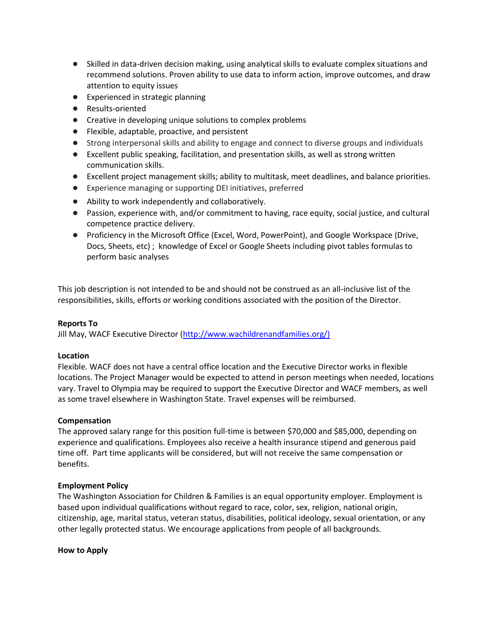- Skilled in data-driven decision making, using analytical skills to evaluate complex situations and recommend solutions. Proven ability to use data to inform action, improve outcomes, and draw attention to equity issues
- Experienced in strategic planning
- Results-oriented
- Creative in developing unique solutions to complex problems
- Flexible, adaptable, proactive, and persistent
- Strong interpersonal skills and ability to engage and connect to diverse groups and individuals
- Excellent public speaking, facilitation, and presentation skills, as well as strong written communication skills.
- Excellent project management skills; ability to multitask, meet deadlines, and balance priorities.
- Experience managing or supporting DEI initiatives, preferred
- Ability to work independently and collaboratively.
- Passion, experience with, and/or commitment to having, race equity, social justice, and cultural competence practice delivery.
- Proficiency in the Microsoft Office (Excel, Word, PowerPoint), and Google Workspace (Drive, Docs, Sheets, etc) ; knowledge of Excel or Google Sheets including pivot tables formulas to perform basic analyses

This job description is not intended to be and should not be construed as an all-inclusive list of the responsibilities, skills, efforts or working conditions associated with the position of the Director.

## **Reports To**

Jill May, WACF Executive Director [\(http://www.wachildrenandfamilies.org/\)](http://www.wachildrenandfamilies.org/)

### **Location**

Flexible. WACF does not have a central office location and the Executive Director works in flexible locations. The Project Manager would be expected to attend in person meetings when needed, locations vary. Travel to Olympia may be required to support the Executive Director and WACF members, as well as some travel elsewhere in Washington State. Travel expenses will be reimbursed.

### **Compensation**

The approved salary range for this position full-time is between \$70,000 and \$85,000, depending on experience and qualifications. Employees also receive a health insurance stipend and generous paid time off. Part time applicants will be considered, but will not receive the same compensation or benefits.

### **Employment Policy**

The Washington Association for Children & Families is an equal opportunity employer. Employment is based upon individual qualifications without regard to race, color, sex, religion, national origin, citizenship, age, marital status, veteran status, disabilities, political ideology, sexual orientation, or any other legally protected status. We encourage applications from people of all backgrounds.

### **How to Apply**